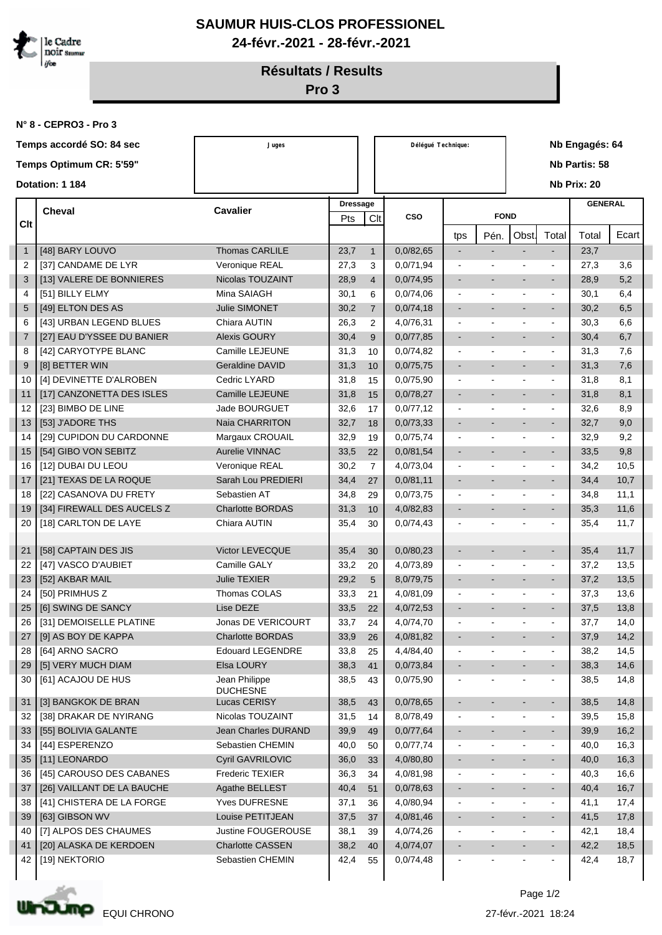

## **SAUMUR HUIS-CLOS PROFESSIONEL 24-févr.-2021 - 28-févr.-2021**

**Résultats / Results**

**Pro 3**

**N° 8 - CEPRO3 - Pro 3**

| Temps accordé SO: 84 sec |                |                                                 | Juges                            |      |                        | Délégué Technique: |                          |                |                |                          | Nb Engagés: 64 |       |  |
|--------------------------|----------------|-------------------------------------------------|----------------------------------|------|------------------------|--------------------|--------------------------|----------------|----------------|--------------------------|----------------|-------|--|
|                          |                | Temps Optimum CR: 5'59"                         |                                  |      |                        |                    |                          | Nb Partis: 58  |                |                          |                |       |  |
|                          |                | Dotation: 1 184                                 |                                  |      |                        |                    |                          |                |                |                          | Nb Prix: 20    |       |  |
|                          |                |                                                 |                                  |      |                        |                    |                          |                |                |                          |                |       |  |
| <b>Cheval</b>            |                |                                                 | <b>Cavalier</b>                  |      | <b>Dressage</b><br>Clt | <b>CSO</b>         |                          | <b>FOND</b>    |                |                          | <b>GENERAL</b> |       |  |
|                          | <b>Clt</b>     |                                                 |                                  | Pts  |                        |                    |                          |                | Obst.          | Total                    | Total          | Ecart |  |
|                          | $\mathbf{1}$   | [48] BARY LOUVO                                 | <b>Thomas CARLILE</b>            | 23,7 | $\mathbf{1}$           | 0,0/82,65          | tps<br>$\blacksquare$    | Pén.           |                | $\overline{a}$           | 23,7           |       |  |
|                          | 2              | [37] CANDAME DE LYR                             | Veronique REAL                   | 27,3 | 3                      | 0,0/71,94          |                          |                |                | ä,                       | 27,3           | 3,6   |  |
|                          | 3              | [13] VALERE DE BONNIERES                        | Nicolas TOUZAINT                 | 28,9 | $\overline{4}$         | 0,0/74,95          | $\blacksquare$           |                | $\sim$         | ÷.                       | 28,9           | 5,2   |  |
|                          | 4              | [51] BILLY ELMY                                 | Mina SAIAGH                      | 30,1 | 6                      | 0,0/74,06          | $\sim$                   |                |                | $\sim$                   | 30,1           | 6,4   |  |
|                          | 5              | [49] ELTON DES AS                               | <b>Julie SIMONET</b>             | 30,2 | $\overline{7}$         | 0,0/74,18          |                          |                |                |                          | 30,2           | 6,5   |  |
|                          | 6              | [43] URBAN LEGEND BLUES                         | Chiara AUTIN                     | 26,3 | $\overline{2}$         | 4,0/76,31          | $\sim$                   |                | $\sim$         | $\blacksquare$           | 30,3           | 6,6   |  |
|                          | $\overline{7}$ | [27] EAU D'YSSEE DU BANIER                      | <b>Alexis GOURY</b>              | 30,4 | 9                      | 0,0/77,85          | $\blacksquare$           |                |                | ÷,                       | 30,4           | 6,7   |  |
|                          | 8              | [42] CARYOTYPE BLANC                            | Camille LEJEUNE                  | 31,3 | 10                     | 0,0/74,82          | $\blacksquare$           |                |                | ÷.                       | 31,3           | 7,6   |  |
|                          | 9              | [8] BETTER WIN                                  | <b>Geraldine DAVID</b>           | 31,3 | 10                     | 0,0/75,75          | $\overline{\phantom{a}}$ |                | $\sim$         | $\blacksquare$           | 31,3           | 7,6   |  |
|                          | 10             | [4] DEVINETTE D'ALROBEN                         | Cedric LYARD                     | 31,8 | 15                     | 0,0/75,90          | $\sim$                   |                | $\sim$         | ä,                       | 31,8           | 8,1   |  |
|                          | 11             | [17] CANZONETTA DES ISLES                       | <b>Camille LEJEUNE</b>           | 31,8 | 15                     | 0,0/78,27          | $\overline{\phantom{a}}$ |                | ш.             | $\blacksquare$           | 31,8           | 8,1   |  |
|                          | 12             | [23] BIMBO DE LINE                              | Jade BOURGUET                    | 32,6 | 17                     | 0,0/77,12          | $\sim$                   |                |                | $\sim$                   | 32,6           | 8,9   |  |
|                          | 13             | [53] J'ADORE THS                                | Naia CHARRITON                   | 32,7 | 18                     | 0,0/73,33          | $\blacksquare$           |                |                | $\blacksquare$           | 32,7           | 9,0   |  |
|                          | 14             | [29] CUPIDON DU CARDONNE                        | Margaux CROUAIL                  | 32,9 | 19                     | 0,0/75,74          | $\sim$                   |                |                | ä,                       | 32,9           | 9,2   |  |
|                          | 15             | [54] GIBO VON SEBITZ                            | Aurelie VINNAC                   | 33,5 | 22                     | 0,0/81,54          | $\blacksquare$           |                |                | ÷,                       | 33,5           | 9,8   |  |
|                          | 16             | [12] DUBAI DU LEOU                              | Veronique REAL                   | 30,2 | $\overline{7}$         | 4,0/73,04          | $\sim$                   |                | $\bullet$      | $\sim$                   | 34,2           | 10,5  |  |
|                          | 17             | [21] TEXAS DE LA ROQUE                          | Sarah Lou PREDIERI               | 34,4 | 27                     | 0,0/81,11          |                          |                |                |                          | 34,4           | 10,7  |  |
|                          | 18             | [22] CASANOVA DU FRETY                          | Sebastien AT                     | 34,8 | 29                     | 0,0/73,75          | $\blacksquare$           |                | $\overline{a}$ | $\sim$                   | 34,8           | 11,1  |  |
|                          | 19             | [34] FIREWALL DES AUCELS Z                      | <b>Charlotte BORDAS</b>          | 31,3 | 10                     | 4,0/82,83          |                          |                |                | $\blacksquare$           | 35,3           | 11,6  |  |
|                          | 20             | [18] CARLTON DE LAYE                            | Chiara AUTIN                     | 35,4 | 30                     | 0,0/74,43          | $\overline{\phantom{a}}$ |                |                |                          | 35,4           | 11,7  |  |
|                          |                |                                                 |                                  |      |                        |                    |                          |                |                |                          |                |       |  |
|                          | 21             | [58] CAPTAIN DES JIS                            | Victor LEVECQUE                  | 35,4 | 30                     | 0,0/80,23          | $\overline{\phantom{a}}$ |                |                | $\blacksquare$           | 35,4           | 11,7  |  |
|                          | 22             | [47] VASCO D'AUBIET                             | Camille GALY                     | 33,2 | 20                     | 4,0/73,89          | $\sim$                   |                |                | $\blacksquare$           | 37,2           | 13,5  |  |
|                          | 23             | [52] AKBAR MAIL                                 | <b>Julie TEXIER</b>              | 29,2 | 5                      | 8,0/79,75          | $\blacksquare$           | $\sim$         | $\sim$         | $\blacksquare$           | 37,2           | 13,5  |  |
|                          | 24             | [50] PRIMHUS Z                                  | Thomas COLAS                     | 33,3 | 21                     | 4,0/81,09          | $\blacksquare$           | $\sim$         | $\overline{a}$ | $\sim$                   | 37,3           | 13,6  |  |
|                          | 25             | [6] SWING DE SANCY                              | Lise DEZE                        | 33,5 | 22                     | 4,0/72,53          |                          |                |                |                          | 37,5           | 13,8  |  |
|                          | 26             | [31] DEMOISELLE PLATINE                         | Jonas DE VERICOURT               | 33,7 | 24                     | 4,0/74,70          | $\ddot{\phantom{a}}$     |                |                |                          | 37,7           | 14,0  |  |
|                          | 27             | [9] AS BOY DE KAPPA                             | Charlotte BORDAS                 | 33,9 | 26                     | 4,0/81,82          | $\overline{\phantom{a}}$ |                |                | ٠                        | 37,9           | 14,2  |  |
|                          | 28             | [64] ARNO SACRO                                 | <b>Edouard LEGENDRE</b>          | 33,8 | 25                     | 4,4/84,40          | $\blacksquare$           |                |                | ٠                        | 38,2           | 14,5  |  |
|                          | 29             | [5] VERY MUCH DIAM                              | Elsa LOURY                       | 38,3 | 41                     | 0,0/73,84          | $\blacksquare$           |                |                | $\blacksquare$           | 38,3           | 14,6  |  |
|                          | 30             | [61] ACAJOU DE HUS                              | Jean Philippe<br><b>DUCHESNE</b> | 38,5 | 43                     | 0,0/75,90          | $\blacksquare$           |                |                | ٠                        | 38,5           | 14,8  |  |
|                          | 31             | [3] BANGKOK DE BRAN                             | Lucas CERISY                     | 38,5 | 43                     | 0,0/78,65          | $\blacksquare$           |                |                | $\blacksquare$           | 38,5           | 14,8  |  |
|                          | 32             | [38] DRAKAR DE NYIRANG                          | Nicolas TOUZAINT                 | 31,5 | 14                     | 8,0/78,49          | $\blacksquare$           |                | $\overline{a}$ | ÷                        | 39,5           | 15,8  |  |
|                          | 33             | [55] BOLIVIA GALANTE                            | Jean Charles DURAND              | 39,9 | 49                     | 0,0/77,64          | $\overline{\phantom{a}}$ |                |                | $\sim$                   | 39,9           | 16,2  |  |
|                          | 34             | [44] ESPERENZO                                  | Sebastien CHEMIN                 | 40,0 | 50                     | 0,0/77,74          | $\blacksquare$           |                |                | $\blacksquare$           | 40,0           | 16,3  |  |
|                          | 35             | [11] LEONARDO                                   | Cyril GAVRILOVIC                 | 36,0 | 33                     | 4,0/80,80          | $\overline{\phantom{a}}$ | $\blacksquare$ |                | $\blacksquare$           | 40,0           | 16,3  |  |
|                          | 36             | [45] CAROUSO DES CABANES                        | Frederic TEXIER                  | 36,3 | 34                     | 4,0/81,98          | $\blacksquare$           | $\blacksquare$ | $\sim$         | $\blacksquare$           | 40,3           | 16,6  |  |
|                          | 37             | [26] VAILLANT DE LA BAUCHE                      | Agathe BELLEST                   | 40,4 | 51                     | 0,0/78,63          | $\overline{\phantom{a}}$ |                |                | $\sim$                   | 40,4           | 16,7  |  |
|                          | 38             | [41] CHISTERA DE LA FORGE                       | <b>Yves DUFRESNE</b>             | 37,1 | 36                     | 4,0/80,94          | $\blacksquare$           | $\blacksquare$ | $\blacksquare$ | $\blacksquare$           | 41,1           | 17,4  |  |
|                          | 39             | [63] GIBSON WV                                  | Louise PETITJEAN                 | 37,5 | 37                     | 4,0/81,46          | $\blacksquare$           |                |                | $\overline{\phantom{a}}$ | 41,5           | 17,8  |  |
|                          | 40             | [7] ALPOS DES CHAUMES<br>[20] ALASKA DE KERDOEN | Justine FOUGEROUSE               | 38,1 | 39                     | 4,0/74,26          | $\blacksquare$           |                |                |                          | 42,1           | 18,4  |  |
|                          | 41             |                                                 | Charlotte CASSEN                 | 38,2 | 40                     | 4,0/74,07          | $\blacksquare$           |                |                | $\blacksquare$           | 42,2           | 18,5  |  |
|                          | 42             | [19] NEKTORIO                                   | Sebastien CHEMIN                 | 42,4 | 55                     | 0,0/74,48          | $\blacksquare$           | ۰              |                | $\blacksquare$           | 42,4           | 18,7  |  |
|                          |                |                                                 |                                  |      |                        |                    |                          |                |                |                          |                |       |  |